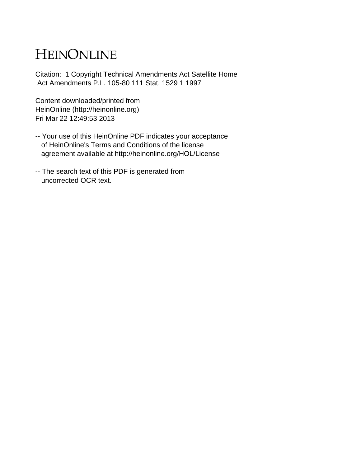# HEINONLINE

Citation: 1 Copyright Technical Amendments Act Satellite Home Act Amendments P.L. 105-80 111 Stat. 1529 1 1997

Content downloaded/printed from HeinOnline (http://heinonline.org) Fri Mar 22 12:49:53 2013

- -- Your use of this HeinOnline PDF indicates your acceptance of HeinOnline's Terms and Conditions of the license agreement available at http://heinonline.org/HOL/License
- -- The search text of this PDF is generated from uncorrected OCR text.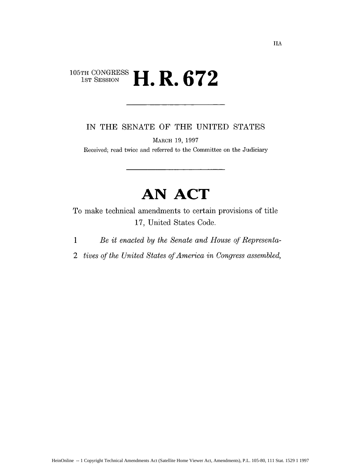# 105TH CONGRESS **H. R. 672**

IN THE SENATE OF THE UNITED STATES

MARCH 19, 1997

Received; read twice and referred to the Committee on the Judiciary

# **AN ACT**

To make technical amendments to certain provisions of title 17, United States Code.

- 1 *Be it enacted by the Senate and House qf Representa-*
- *2 tives of the United States of America in Congress assembled,*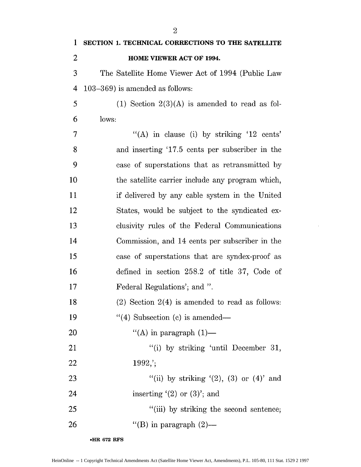| $\mathbf 1$ | SECTION 1. TECHNICAL CORRECTIONS TO THE SATELLITE   |
|-------------|-----------------------------------------------------|
| 2           | <b>HOME VIEWER ACT OF 1994.</b>                     |
| 3           | The Satellite Home Viewer Act of 1994 (Public Law   |
| 4           | $103-369$ ) is amended as follows:                  |
| 5           | (1) Section $2(3)(A)$ is amended to read as fol-    |
| 6           | lows:                                               |
| 7           | "(A) in clause (i) by striking '12 cents'           |
| 8           | and inserting '17.5 cents per subscriber in the     |
| 9           | case of superstations that as retransmitted by      |
| 10          | the satellite carrier include any program which,    |
| 11          | if delivered by any cable system in the United      |
| 12          | States, would be subject to the syndicated ex-      |
| 13          | clusivity rules of the Federal Communications       |
| 14          | Commission, and 14 cents per subscriber in the      |
| 15          | case of superstations that are syndex-proof as      |
| 16          | defined in section 258.2 of title 37, Code of       |
| 17          | Federal Regulations'; and ".                        |
| 18          | $(2)$ Section $2(4)$ is amended to read as follows: |
| 19          | $\lq(4)$ Subsection (c) is amended—                 |
| 20          | "(A) in paragraph $(1)$ —                           |
| 21          | "(i) by striking 'until December 31,                |
| 22          | $1992$ ;                                            |
| 23          | "(ii) by striking $(2)$ , $(3)$ or $(4)$ " and      |
| 24          | inserting $(2)$ or $(3)$ ; and                      |
| 25          | "(iii) by striking the second sentence;             |
| 26          | "(B) in paragraph $(2)$ —                           |
|             |                                                     |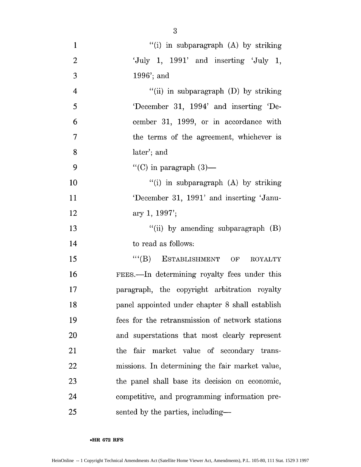**3**

| $\mathbf{1}$            | "(i) in subparagraph $(A)$ by striking          |
|-------------------------|-------------------------------------------------|
| $\overline{2}$          | 'July 1, 1991' and inserting 'July 1,           |
| 3                       | $1996$ ; and                                    |
| $\overline{\mathbf{4}}$ | "(ii) in subparagraph $(D)$ by striking         |
| 5                       | 'December 31, 1994' and inserting 'De-          |
| 6                       | cember 31, 1999, or in accordance with          |
| $\overline{7}$          | the terms of the agreement, whichever is        |
| 8                       | later'; and                                     |
| 9                       | "(C) in paragraph $(3)$ —                       |
| 10                      | "(i) in subparagraph $(A)$ by striking          |
| 11                      | 'December 31, 1991' and inserting 'Janu-        |
| 12                      | ary 1, $1997'$ ;                                |
| 13                      | "(ii) by amending subparagraph $(B)$            |
| 14                      | to read as follows:                             |
| 15                      | "(B) ESTABLISHMENT OF ROYALTY                   |
| 16                      | FEES.—In determining royalty fees under this    |
| 17                      | paragraph, the copyright arbitration royalty    |
| 18                      | panel appointed under chapter 8 shall establish |
| 19                      | fees for the retransmission of network stations |
| 20                      | and superstations that most clearly represent   |
| 21                      | the fair market value of secondary trans-       |
| 22                      | missions. In determining the fair market value, |
| 23                      | the panel shall base its decision on economic,  |
| 24                      | competitive, and programming information pre-   |
| 25                      | sented by the parties, including—               |

**eRER 672** RFS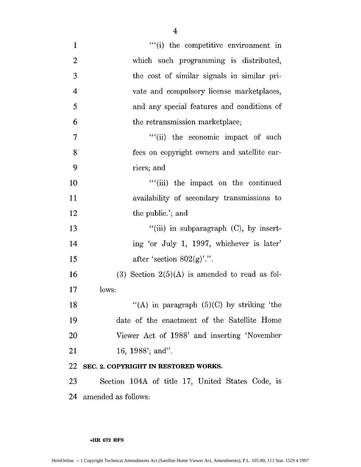| $\mathbf{1}$   | ""(i) the competitive environment in               |
|----------------|----------------------------------------------------|
| $\overline{2}$ | which such programming is distributed,             |
| 3              | the cost of similar signals in similar pri-        |
| 4              | vate and compulsory license marketplaces,          |
| 5              | and any special features and conditions of         |
| 6              | the retransmission marketplace;                    |
| $\tau$         | ""(ii) the economic impact of such                 |
| 8              | fees on copyright owners and satellite car-        |
| 9              | riers; and                                         |
| 10             | "(iii) the impact on the continued                 |
| 11             | availability of secondary transmissions to         |
| 12             | the public.'; and                                  |
| 13             | "(iii) in subparagraph $(C)$ , by insert-          |
| 14             | ing 'or July 1, 1997, whichever is later'          |
| 15             | after 'section $802(g)$ '.".                       |
| 16             | $(3)$ Section $2(5)(A)$ is amended to read as fol- |
| 17             | lows:                                              |
| 18             | "(A) in paragraph $(5)(C)$ by striking 'the        |
| 19             | date of the enactment of the Satellite Home        |
| 20             | Viewer Act of 1988' and inserting 'November        |
| 21             | 16, 1988'; and".                                   |
| 22             | SEC. 2. COPYRIGHT IN RESTORED WORKS.               |
| 23             | Section 104A of title 17, United States Code, is   |
| 24             | amended as follows:                                |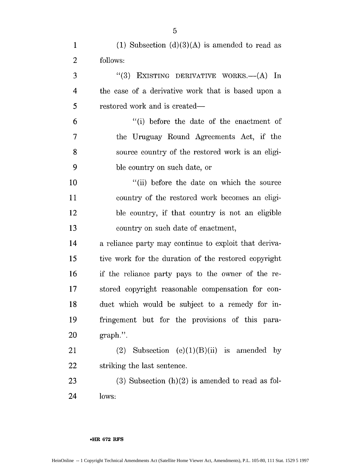1 (1) Subsection  $(d)(3)(A)$  is amended to read as 2 follows: 3 "(3) EXISTING DERIVATIVE WORKS.-- (A) In 4 the case of a derivative work that is based upon a 5 restored work and is created— **6** "(i) before the date of the enactment of 7 the Uruguay Round Agreements Act, if the 8 source country of the restored work is an eligi-9 ble country on such date, or 10 "(ii) before the date on which the source 11 country of the restored work becomes an eligi-12 ble country, if that country is not an eligible 13 country on such date of enactment, 14 a reliance party may continue to exploit that deriva-*15* tive work for the duration of the restored copyright 16 if the reliance party pays to the owner of the re-17 stored copyright reasonable compensation for con-18 duct which would be subject to a remedy for in-19 fringement but for the provisions of this para-20 graph.". 21 (2) Subsection  $(e)(1)(B)(ii)$  is amended by 22 striking the last sentence.

23 (3) Subsection  $(h)(2)$  is amended to read as fol-24 lows: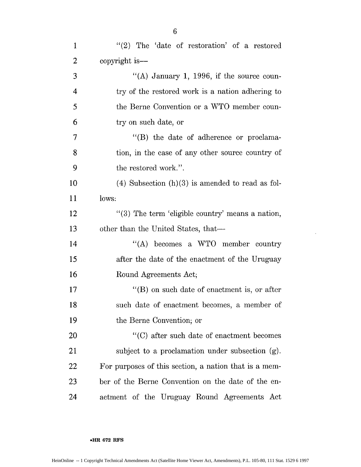| $\mathbf 1$    | $(2)$ The 'date of restoration' of a restored         |
|----------------|-------------------------------------------------------|
| $\overline{2}$ | copyright is—                                         |
| 3              | "(A) January 1, 1996, if the source coun-             |
| 4              | try of the restored work is a nation adhering to      |
| 5              | the Berne Convention or a WTO member coun-            |
| 6              | try on such date, or                                  |
| 7              | "(B) the date of adherence or proclama-               |
| 8              | tion, in the case of any other source country of      |
| 9              | the restored work.".                                  |
| 10             | $(4)$ Subsection $(h)(3)$ is amended to read as fol-  |
| 11             | lows:                                                 |
| 12             | "(3) The term 'eligible country' means a nation,      |
| 13             | other than the United States, that—                   |
| 14             | "(A) becomes a WTO member country                     |
| 15             | after the date of the enactment of the Uruguay        |
| 16             | Round Agreements Act;                                 |
| 17             | $\lq\lq (B)$ on such date of enactment is, or after   |
| 18             | such date of enactment becomes, a member of           |
| 19             | the Berne Convention; or                              |
| <b>20</b>      | "(C) after such date of enactment becomes             |
| 21             | subject to a proclamation under subsection (g).       |
| 22             | For purposes of this section, a nation that is a mem- |
| 23             | ber of the Berne Convention on the date of the en-    |
| 24             | actment of the Uruguay Round Agreements Act           |

 $\sim 100$  km s  $^{-1}$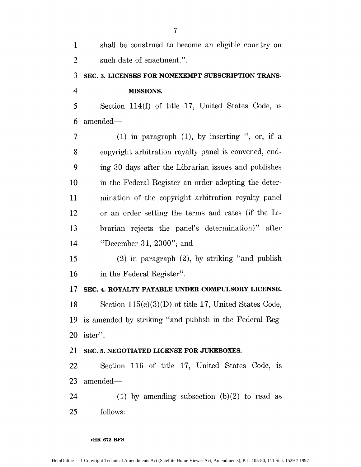| $\mathbf{1}$   | shall be construed to become an eligible country on        |
|----------------|------------------------------------------------------------|
| $\overline{2}$ | such date of enactment.".                                  |
| 3              | SEC. 3. LICENSES FOR NONEXEMPT SUBSCRIPTION TRANS-         |
| $\overline{4}$ | <b>MISSIONS.</b>                                           |
| 5              | Section 114(f) of title 17, United States Code, is         |
| 6              | amended—                                                   |
| $\overline{7}$ | $(1)$ in paragraph $(1)$ , by inserting ", or, if a        |
| 8              | copyright arbitration royalty panel is convened, end-      |
| 9              | ing 30 days after the Librarian issues and publishes       |
| 10             | in the Federal Register an order adopting the deter-       |
| 11             | mination of the copyright arbitration royalty panel        |
| 12             | or an order setting the terms and rates (if the Li-        |
| 13             | brarian rejects the panel's determination)" after          |
| 14             | "December 31, $2000$ "; and                                |
| 15             | $(2)$ in paragraph $(2)$ , by striking "and publish"       |
| 16             | in the Federal Register".                                  |
| 17             | SEC. 4. ROYALTY PAYABLE UNDER COMPULSORY LICENSE.          |
| 18             | Section 115(c)(3)(D) of title 17, United States Code,      |
|                | 19 is amended by striking "and publish in the Federal Reg- |
| 20             | ister".                                                    |
| 21             | SEC. 5. NEGOTIATED LICENSE FOR JUKEBOXES.                  |
| 22             | Section 116 of title 17, United States Code, is            |
| 23             | amended—                                                   |
| 24             | (1) by amending subsection $(b)(2)$ to read as             |
| 25             | follows:                                                   |
|                |                                                            |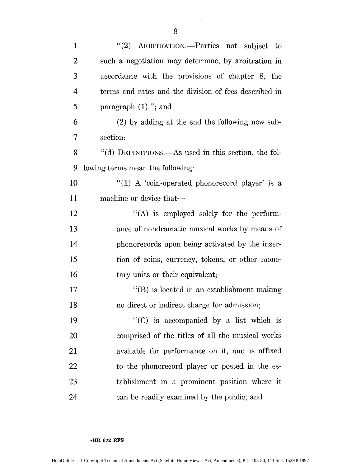$\sim 10^{11}$ 

| $\mathbf{1}$   | "(2) ARBITRATION.—Parties not subject to              |
|----------------|-------------------------------------------------------|
| $\overline{2}$ | such a negotiation may determine, by arbitration in   |
| 3              | accordance with the provisions of chapter 8, the      |
| 4              | terms and rates and the division of fees described in |
| 5              | paragraph $(1)$ ."; and                               |
| 6              | (2) by adding at the end the following new sub-       |
| 7              | section:                                              |
| 8              | "(d) DEFINITIONS.—As used in this section, the fol-   |
| 9              | lowing terms mean the following:                      |
| 10             | "(1) A 'coin-operated phonorecord player' is a        |
| 11             | machine or device that—                               |
| 12             | $\lq\lq$ is employed solely for the perform-          |
| 13             | ance of nondramatic musical works by means of         |
| 14             | phonorecords upon being activated by the inser-       |
| 15             | tion of coins, currency, tokens, or other mone-       |
| 16             | tary units or their equivalent;                       |
| 17             | $\lq\lq$ is located in an establishment making        |
| 18             | no direct or indirect charge for admission;           |
| 19             | "(C) is accompanied by a list which is                |
| 20             | comprised of the titles of all the musical works      |
| 21             | available for performance on it, and is affixed       |
| 22             | to the phonorecord player or posted in the es-        |
| 23             | tablishment in a prominent position where it          |
| 24             | can be readily examined by the public; and            |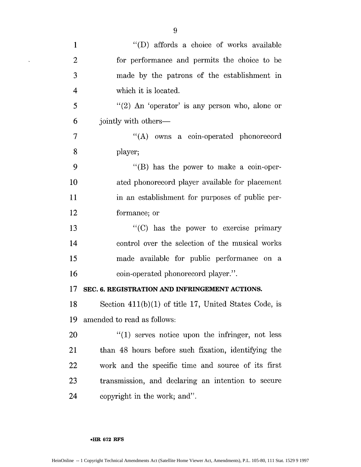$\bar{\mathcal{A}}$ 

| $\mathbf{1}$   | "(D) affords a choice of works available                |
|----------------|---------------------------------------------------------|
| $\overline{2}$ | for performance and permits the choice to be            |
| 3              | made by the patrons of the establishment in             |
| 4              | which it is located.                                    |
| 5              | $"(2)$ An 'operator' is any person who, alone or        |
| 6              | jointly with others—                                    |
| 7              | "(A) owns a coin-operated phonorecord                   |
| 8              | player;                                                 |
| 9              | $\lq\lq (B)$ has the power to make a coin-oper-         |
| 10             | ated phonorecord player available for placement         |
| 11             | in an establishment for purposes of public per-         |
| 12             | formance; or                                            |
| 13             | "(C) has the power to exercise primary                  |
| 14             | control over the selection of the musical works         |
| 15             | made available for public performance on a              |
| 16             | coin-operated phonorecord player.".                     |
| 17             | SEC. 6. REGISTRATION AND INFRINGEMENT ACTIONS.          |
| 18             | Section $411(b)(1)$ of title 17, United States Code, is |
| 19             | amended to read as follows:                             |
| 20             | $\lq(1)$ serves notice upon the infringer, not less     |
| 21             | than 48 hours before such fixation, identifying the     |
| 22             | work and the specific time and source of its first      |
| 23             | transmission, and declaring an intention to secure      |
| 24             | copyright in the work; and".                            |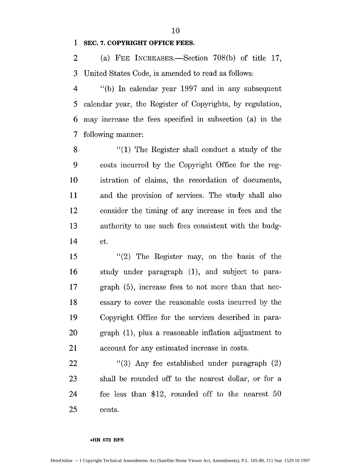2 (a) FEE INCREASES.—Section 708(b) of title 17, 3 United States Code, is amended to read as follows:

4 "(b) In calendar year 1997 and in any subsequent 5 calendar year, the Register of Copyrights, by regulation, 6 may increase the fees specified in subsection (a) in the 7 following manner:

8 "(1) The Register shall conduct a study of the 9 costs incurred by the Copyright Office for the reg-**10** istration of claims, the recordation of documents, **11** and the provision of services. The study shall also 12 consider the timing of any increase in fees and the 13 authority to use such fees consistent with the budg-14 et.

15 "(2) The Register may, on the basis of the 16 study under paragraph (1), and subject to para-17 graph (5), increase fees to not more than that nec-18 essary to cover the reasonable costs incurred by the 19 Copyright Office for the services described in para-20 graph (1), plus a reasonable inflation adjustment to 21 account for any estimated increase in costs.

22 "(3) Any fee established under paragraph (2) 23 shall be rounded off to the nearest dollar, or for a 24 fee less than \$12, rounded off to the nearest 50 25 cents.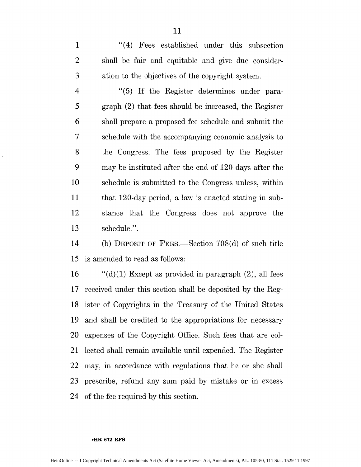1 "(4) Fees established under this subsection 2 shall be fair and equitable and give due consider-3 ation to the objectives of the copyright system.

4 "(5) If the Register determines under para-5 graph (2) that fees should be increased, the Register 6 shall prepare a proposed fee schedule and submit the 7 schedule with the accompanying economic analysis to 8 the Congress. The fees proposed by the Register 9 may be instituted after the end of 120 days after the 10 schedule is submitted to the Congress unless, within 11 that 120-day period, a law is enacted stating in sub-12 stance that the Congress does not approve the 13 schedule.".

14 (b) DEPOSIT OF FEES.—Section 708(d) of such title 15 is amended to read as follows:

16 "(d)(1) Except as provided in paragraph  $(2)$ , all fees 17 received under this section shall be deposited by the Reg-18 ister of Copyrights in the Treasury of the United States 19 and shall be credited to the appropriations for necessary 20 expenses of the Copyright Office. Such fees that are col-21 lected shall remain available until expended. The Register 22 may, in accordance with regulations that he or she shall 23 prescribe, refund any sum paid by mistake or in excess 24 of the fee required by this section.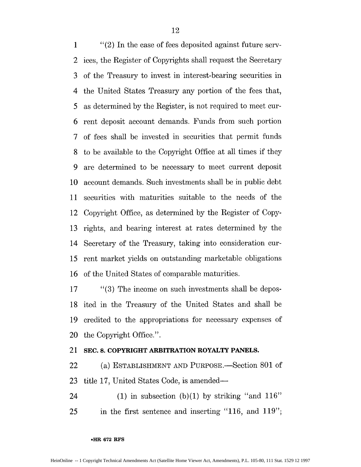1 "(2) In the case of fees deposited against future serv-2 ices, the Register of Copyrights shall request the Secretary 3 of the Treasury to invest in interest-bearing securities in 4 the United States Treasury any portion of the fees that, 5 as determined by the Register, is not required to meet cur-6 rent deposit account demands. Funds from such portion 7 of fees shall be invested in securities that permit funds 8 to be available to the Copyright Office at all times if they 9 are determined to be necessary to meet current deposit 10 account demands. Such investments shall be in public debt 11 securities with maturities suitable to the needs of the 12 Copyright Office, as determined by the Register of Copy-13 rights, and bearing interest at rates determined by the 14 Secretary of the Treasury, taking into consideration cur-15 rent market yields on outstanding marketable obligations 16 of the United States of comparable maturities.

17 "(3) The income on such investments shall be depos-18 ited in the Treasury of the United States and shall be 19 credited to the appropriations for necessary expenses of 20 the Copyright Office.".

# 21 **SEC. 8. COPYRIGHT ARBITRATION ROYALTY PANELS.**

22 (a) ESTABLISHMENT AND PURPOSE.—Section 801 of 23 title 17, United States Code, is amended—

- 24 (1) in subsection (b)(1) by striking "and  $116"$
- 25 in the first sentence and inserting "116, and 119";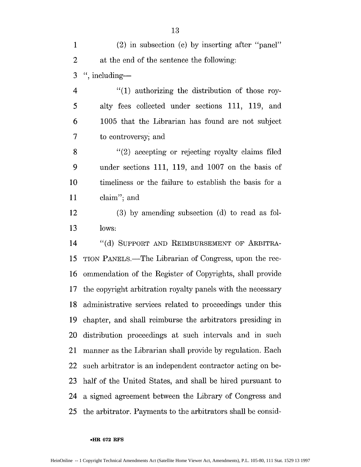| $\mathbf{1}$   | $(2)$ in subsection $(c)$ by inserting after "panel"         |
|----------------|--------------------------------------------------------------|
| $\overline{2}$ | at the end of the sentence the following:                    |
| 3              | ", including-                                                |
| 4              | $f'(1)$ authorizing the distribution of those roy-           |
| 5              | alty fees collected under sections 111, 119, and             |
| 6              | 1005 that the Librarian has found are not subject            |
| $\overline{7}$ | to controversy; and                                          |
| 8              | "(2) accepting or rejecting royalty claims filed             |
| 9              | under sections 111, 119, and 1007 on the basis of            |
| 10             | timeliness or the failure to establish the basis for a       |
| 11             | claim"; and                                                  |
| 12             | (3) by amending subsection (d) to read as fol-               |
| 13             | lows:                                                        |
| 14             | "(d) SUPPORT AND REIMBURSEMENT OF ARBITRA-                   |
| 15             | TION PANELS.—The Librarian of Congress, upon the rec-        |
| 16             | ommendation of the Register of Copyrights, shall provide     |
| 17             | the copyright arbitration royalty panels with the necessary  |
|                | 18 administrative services related to proceedings under this |
| 19             | chapter, and shall reimburse the arbitrators presiding in    |
| 20             | distribution proceedings at such intervals and in such       |
| 21             | manner as the Librarian shall provide by regulation. Each    |
| 22             | such arbitrator is an independent contractor acting on be-   |
| 23             | half of the United States, and shall be hired pursuant to    |
| 24             | a signed agreement between the Library of Congress and       |
| 25.            | the arbitrator. Payments to the arbitrators shall be consid- |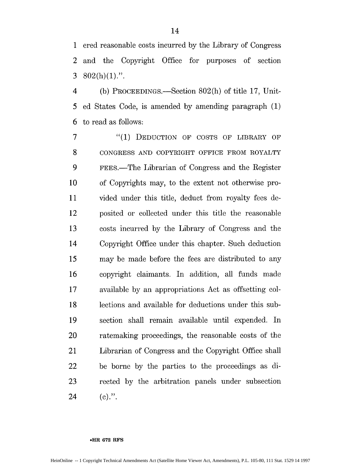1 ered reasonable costs incurred by the Library of Congress 2 and the Copyright Office for purposes of section 3  $802(h)(1)$ .".

4 (b) PROCEEDINGS.-Section 802(h) of title 17, Unit-5 ed States Code, is amended by amending paragraph (1) 6 to read as follows:

7 "(1) DEDUCTION OF COSTS OF LIBRARY OF 8 CONGRESS **AND** COPYRIGHT OFFICE FROM ROYALTY 9 FEES.-The Librarian of Congress and the Register **10** of Copyrights may, to the extent not otherwise pro-11 vided under this title, deduct from royalty fees de-12 posited or collected under this title the reasonable 13 costs incurred by the Library of Congress and the 14 Copyright Office under this chapter. Such deduction 15 may be made before the fees are distributed to any 16 copyright claimants. In addition, all funds made 17 available by an appropriations Act as offsetting col-18 lections and available for deductions under this sub-19 section shall remain available until expended. In 20 ratemaking proceedings, the reasonable costs of the 21 Librarian of Congress and the Copyright Office shall 22 be borne by the parties to the proceedings as di-23 rected by the arbitration panels under subsection 24 (c).".

## 14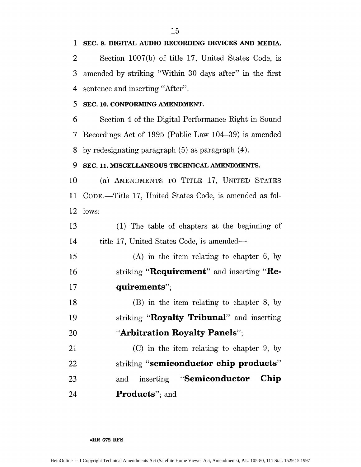**1 SEC. 9. DIGITAL AUDIO RECORDING DEVICES AND MEDIA.** 2 Section 1007(b) of title 17, United States Code, is

3 amended by striking "Within 30 days after" in the first 4 sentence and inserting "After".

# **5 SEC. 10. CONFORMING AMENDMENT.**

6 Section 4 of the Digital Performance Right in Sound 7 Recordings Act of 1995 (Public Law 104-39) is amended 8 by redesignating paragraph (5) as paragraph (4).

# **9 SEC. 11. MISCELLANEOUS TECHNICAL AMENDMENTS.**

10 (a) AMENDMENTS TO TITLE 17, UNITED STATES 11 CODE.-Title 17, United States Code, is amended as fol-12 lows:

13 (1) The table of chapters at the beginning of 14 title 17, United States Code, is amended—

*15* (A) in the item relating to chapter 6, by **16** striking **"Requirement"** and inserting **"Re-17 quirements";**

18 (B) in the item relating to chapter 8, by 19 striking "**Royalty Tribunal**" and inserting 20 **"Arbitration Royalty Panels";**

21 (C) in the item relating to chapter 9, by 22 striking **"semiconductor chip products"** 23 and inserting **"Semiconductor** Chip 24 **Products";** and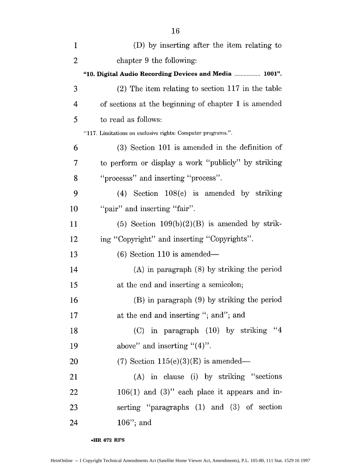| (D) by inserting after the item relating to                 |
|-------------------------------------------------------------|
| chapter 9 the following:                                    |
| "10. Digital Audio Recording Devices and Media  1001".      |
| $(2)$ The item relating to section 117 in the table         |
| of sections at the beginning of chapter 1 is amended        |
| to read as follows:                                         |
| "117. Limitations on exclusive rights: Computer programs.". |
| $(3)$ Section 101 is amended in the definition of           |
| to perform or display a work "publicly" by striking         |
| "processs" and inserting "process".                         |
| $(4)$ Section 108 $(e)$ is amended by striking              |
| "pair" and inserting "fair".                                |
| $(5)$ Section 109(b)(2)(B) is amended by strik-             |
| ing "Copyright" and inserting "Copyrights".                 |
| $(6)$ Section 110 is amended—                               |
| $(A)$ in paragraph $(8)$ by striking the period             |
| at the end and inserting a semicolon;                       |
| $(B)$ in paragraph $(9)$ by striking the period             |
| at the end and inserting "; and"; and                       |
| $(C)$ in paragraph $(10)$ by striking "4                    |
| above" and inserting " $(4)$ ".                             |
| $(7)$ Section $115(c)(3)(E)$ is amended—                    |
| (A) in clause (i) by striking "sections                     |
|                                                             |
| $106(1)$ and $(3)$ " each place it appears and in-          |
| serting "paragraphs (1) and (3) of section                  |
|                                                             |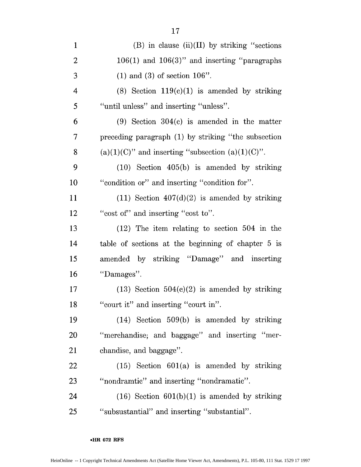| $\mathbf{1}$   | $(B)$ in clause $(ii)(II)$ by striking "sections"      |
|----------------|--------------------------------------------------------|
| $\overline{2}$ | $106(1)$ and $106(3)$ " and inserting "paragraphs"     |
| 3              | $(1)$ and $(3)$ of section 106".                       |
| 4              | $(8)$ Section 119 $(e)(1)$ is amended by striking      |
| 5              | "until unless" and inserting "unless".                 |
| 6              | $(9)$ Section 304 $(c)$ is amended in the matter       |
| $\overline{7}$ | preceding paragraph (1) by striking "the subsection    |
| 8              | $(a)(1)(C)$ " and inserting "subsection $(a)(1)(C)$ ". |
| 9              | $(10)$ Section $405(b)$ is amended by striking         |
| 10             | "condition or" and inserting "condition for".          |
| 11             | $(11)$ Section $407(d)(2)$ is amended by striking      |
| 12             | "cost of" and inserting "cost to".                     |
| 13             | $(12)$ The item relating to section 504 in the         |
| 14             | table of sections at the beginning of chapter 5 is     |
| 15             | amended by striking "Damage" and inserting             |
| 16             | "Damages".                                             |
| <b>17</b>      | $(13)$ Section $504(c)(2)$ is amended by striking      |
| 18             | "court it" and inserting "court in".                   |
| 19             | $(14)$ Section 509(b) is amended by striking           |
| 20             | "merchandise; and baggage" and inserting "mer-         |
| 21             | chandise, and baggage".                                |
| 22             | $(15)$ Section $601(a)$ is amended by striking         |
| 23             | "nondramtic" and inserting "nondramatic".              |
| 24             | $(16)$ Section $601(b)(1)$ is amended by striking      |
| 25             | "subsustantial" and inserting "substantial".           |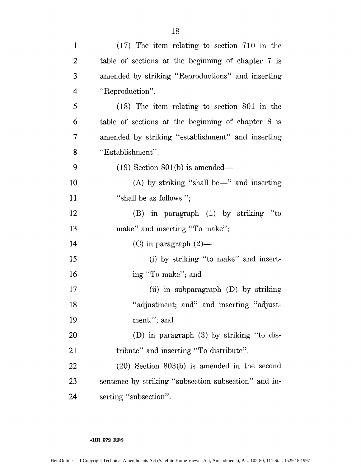| $\mathbf{1}$   | $(17)$ The item relating to section 710 in the       |
|----------------|------------------------------------------------------|
| $\overline{c}$ | table of sections at the beginning of chapter 7 is   |
| 3              | amended by striking "Reproductions" and inserting    |
| 4              | "Reproduction".                                      |
| 5              | $(18)$ The item relating to section 801 in the       |
| 6              | table of sections at the beginning of chapter 8 is   |
| 7              | amended by striking "establishment" and inserting    |
| 8              | "Establishment".                                     |
| 9              | $(19)$ Section 801(b) is amended—                    |
| 10             | $(A)$ by striking "shall be—" and inserting          |
| 11             | "shall be as follows:";                              |
| 12             | $(B)$ in paragraph $(1)$ by striking "to             |
| 13             | make" and inserting "To make";                       |
| 14             | (C) in paragraph $(2)$ —                             |
| 15             | (i) by striking "to make" and insert-                |
| 16             | ing "To make"; and                                   |
| 17             | (ii) in subparagraph (D) by striking                 |
| 18             | "adjustment; and" and inserting "adjust-             |
| 19             | ment."; and                                          |
| 20             | (D) in paragraph $(3)$ by striking "to dis-          |
| 21             | tribute" and inserting "To distribute".              |
| 22             | $(20)$ Section $803(b)$ is amended in the second     |
| 23             | sentence by striking "subsection subsection" and in- |
| 24             | serting "subsection".                                |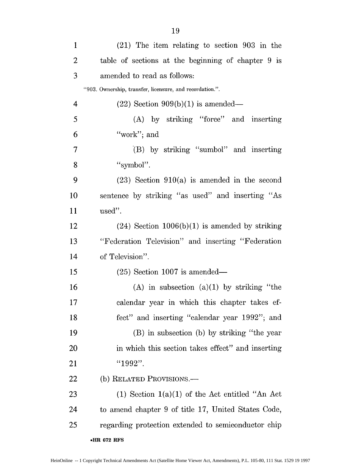| $\mathbf{1}$   | $(21)$ The item relating to section 903 in the           |
|----------------|----------------------------------------------------------|
| $\overline{2}$ | table of sections at the beginning of chapter 9 is       |
| 3              | amended to read as follows:                              |
|                | "903. Ownership, transfer, licensure, and recordation.". |
| $\overline{4}$ | $(22)$ Section 909(b)(1) is amended—                     |
| 5              | (A) by striking "force" and inserting                    |
| 6              | "work"; and                                              |
| 7              | (B) by striking "sumbol" and inserting                   |
| 8              | "symbol".                                                |
| 9              | $(23)$ Section 910(a) is amended in the second           |
| 10             | sentence by striking "as used" and inserting "As         |
| 11             | used".                                                   |
| 12             | $(24)$ Section 1006(b)(1) is amended by striking         |
| 13             | "Federation Television" and inserting "Federation"       |
| 14             | of Television".                                          |
| 15             | $(25)$ Section 1007 is amended—                          |
| 16             | (A) in subsection $(a)(1)$ by striking "the              |
| 17             | calendar year in which this chapter takes ef-            |
| 18             | fect" and inserting "calendar year 1992"; and            |
| 19             | (B) in subsection (b) by striking "the year              |
| <b>20</b>      | in which this section takes effect" and inserting        |
| 21             | "1992".                                                  |
| <u>22</u>      | (b) RELATED PROVISIONS.—                                 |
| 23             | (1) Section $1(a)(1)$ of the Act entitled "An Act        |
| 24             | to amend chapter 9 of title 17, United States Code,      |
| 25             | regarding protection extended to semiconductor chip      |
|                | <b>•HR 672 RFS</b>                                       |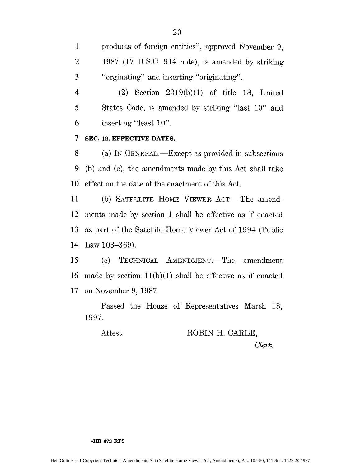1 products of foreign entities", approved November 9, 2 1987 (17 U.S.C. 914 note), is amended by striking 3 "orginating" and inserting "originating".

4 (2) Section 2319(b)(1) of title 18, United 5 States Code, is amended by striking "last 10" and 6 inserting "least 10".

# **7 SEC. 12. EFFECTIVE DATES.**

8 (a) IN GENERAL.-Except as provided in subsections 9 (b) and (c), the amendments made by this Act shall take 10 effect on the date of the enactment of this Act.

11 (b) SATELLITE HOME VIEWER ACT.—The amend-12 ments made by section 1 shall be effective as if enacted 13 as part of the Satellite Home Viewer Act of 1994 (Public 14 Law 103-369).

15 (c) TECHNICAL AMENDMENT.—The amendment 16 made by section  $11(b)(1)$  shall be effective as if enacted 17 on November 9, 1987.

Passed the House of Representatives March 18, 1997.

Attest: ROBIN H. CARLE, Clerk.